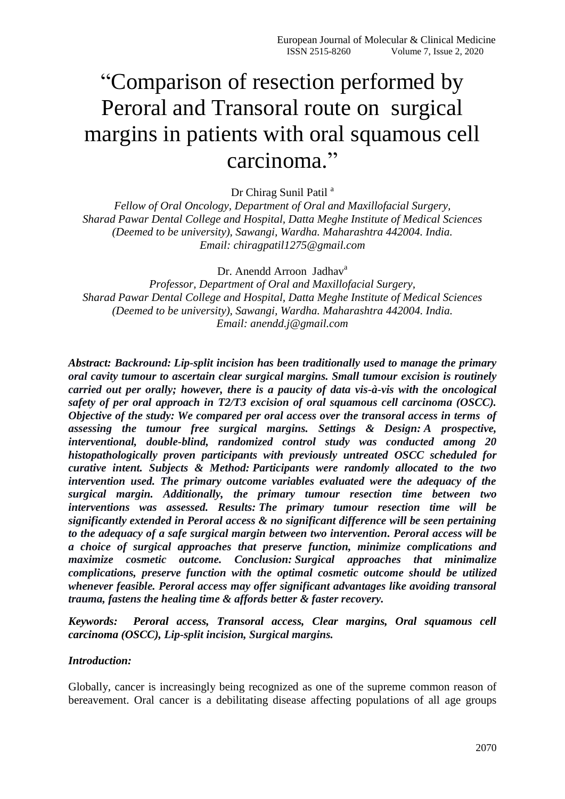# ―Comparison of resection performed by Peroral and Transoral route on surgical margins in patients with oral squamous cell carcinoma."

Dr Chirag Sunil Patil<sup>a</sup>

*Fellow of Oral Oncology, Department of Oral and Maxillofacial Surgery, Sharad Pawar Dental College and Hospital, Datta Meghe Institute of Medical Sciences (Deemed to be university), Sawangi, Wardha. Maharashtra 442004. India. Email: [chiragpatil1275@gmail.com](mailto:chiragpatil1275@gmail.com)*

Dr. Anendd Arroon Jadhav<sup>a</sup>

*Professor, Department of Oral and Maxillofacial Surgery, Sharad Pawar Dental College and Hospital, Datta Meghe Institute of Medical Sciences (Deemed to be university), Sawangi, Wardha. Maharashtra 442004. India. Email: anendd.j@gmail.com*

*Abstract: Backround: Lip-split incision has been traditionally used to manage the primary oral cavity tumour to ascertain clear surgical margins. Small tumour excision is routinely carried out per orally; however, there is a paucity of data vis-à-vis with the oncological safety of per oral approach in T2/T3 excision of oral squamous cell carcinoma (OSCC). Objective of the study: We compared per oral access over the transoral access in terms of assessing the tumour free surgical margins. Settings & Design: A prospective, interventional, double-blind, randomized control study was conducted among 20 histopathologically proven participants with previously untreated OSCC scheduled for curative intent. Subjects & Method: Participants were randomly allocated to the two intervention used. The primary outcome variables evaluated were the adequacy of the surgical margin. Additionally, the primary tumour resection time between two interventions was assessed. Results: The primary tumour resection time will be significantly extended in Peroral access & no significant difference will be seen pertaining to the adequacy of a safe surgical margin between two intervention. Peroral access will be a choice of surgical approaches that preserve function, minimize complications and maximize cosmetic outcome. Conclusion: Surgical approaches that minimalize complications, preserve function with the optimal cosmetic outcome should be utilized whenever feasible. Peroral access may offer significant advantages like avoiding transoral trauma, fastens the healing time & affords better & faster recovery.*

*Keywords: Peroral access, Transoral access, Clear margins, Oral squamous cell carcinoma (OSCC), Lip-split incision, Surgical margins.*

#### *Introduction:*

Globally, cancer is increasingly being recognized as one of the supreme common reason of bereavement. Oral cancer is a debilitating disease affecting populations of all age groups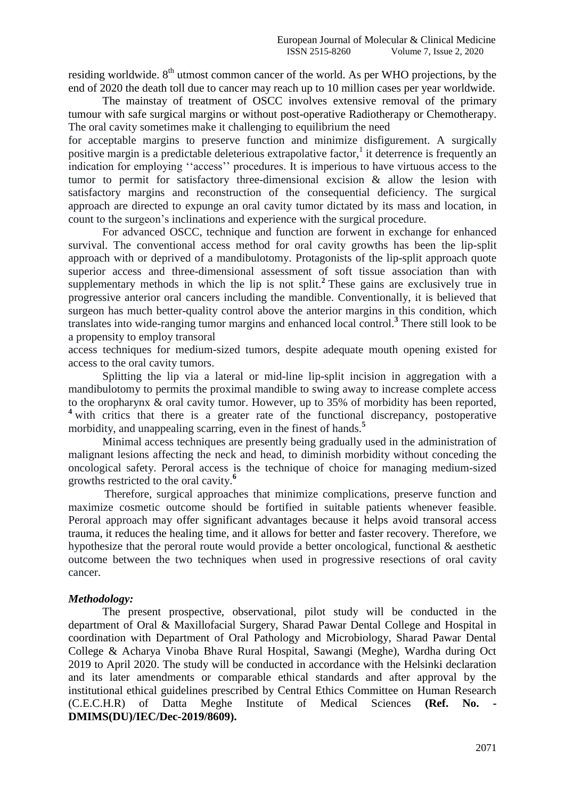residing worldwide.  $8<sup>th</sup>$  utmost common cancer of the world. As per WHO projections, by the end of 2020 the death toll due to cancer may reach up to 10 million cases per year worldwide.

The mainstay of treatment of OSCC involves extensive removal of the primary tumour with safe surgical margins or without post-operative Radiotherapy or Chemotherapy. The oral cavity sometimes make it challenging to equilibrium the need

for acceptable margins to preserve function and minimize disfigurement. A surgically positive margin is a predictable deleterious extrapolative factor,<sup>1</sup> it deterrence is frequently an indication for employing "access" procedures. It is imperious to have virtuous access to the tumor to permit for satisfactory three-dimensional excision & allow the lesion with satisfactory margins and reconstruction of the consequential deficiency. The surgical approach are directed to expunge an oral cavity tumor dictated by its mass and location, in count to the surgeon's inclinations and experience with the surgical procedure.

For advanced OSCC, technique and function are forwent in exchange for enhanced survival. The conventional access method for oral cavity growths has been the lip-split approach with or deprived of a mandibulotomy. Protagonists of the lip-split approach quote superior access and three-dimensional assessment of soft tissue association than with supplementary methods in which the lip is not split.**<sup>2</sup>** These gains are exclusively true in progressive anterior oral cancers including the mandible. Conventionally, it is believed that surgeon has much better-quality control above the anterior margins in this condition, which translates into wide-ranging tumor margins and enhanced local control.**<sup>3</sup>** There still look to be a propensity to employ transoral

access techniques for medium-sized tumors, despite adequate mouth opening existed for access to the oral cavity tumors.

Splitting the lip via a lateral or mid-line lip-split incision in aggregation with a mandibulotomy to permits the proximal mandible to swing away to increase complete access to the oropharynx & oral cavity tumor. However, up to 35% of morbidity has been reported, <sup>4</sup> with critics that there is a greater rate of the functional discrepancy, postoperative morbidity, and unappealing scarring, even in the finest of hands.<sup>5</sup>

Minimal access techniques are presently being gradually used in the administration of malignant lesions affecting the neck and head, to diminish morbidity without conceding the oncological safety. Peroral access is the technique of choice for managing medium-sized growths restricted to the oral cavity.**<sup>6</sup>**

Therefore, surgical approaches that minimize complications, preserve function and maximize cosmetic outcome should be fortified in suitable patients whenever feasible. Peroral approach may offer significant advantages because it helps avoid transoral access trauma, it reduces the healing time, and it allows for better and faster recovery. Therefore, we hypothesize that the peroral route would provide a better oncological, functional & aesthetic outcome between the two techniques when used in progressive resections of oral cavity cancer.

## *Methodology:*

The present prospective, observational, pilot study will be conducted in the department of Oral & Maxillofacial Surgery, Sharad Pawar Dental College and Hospital in coordination with Department of Oral Pathology and Microbiology, Sharad Pawar Dental College & Acharya Vinoba Bhave Rural Hospital, Sawangi (Meghe), Wardha during Oct 2019 to April 2020. The study will be conducted in accordance with the Helsinki declaration and its later amendments or comparable ethical standards and after approval by the institutional ethical guidelines prescribed by Central Ethics Committee on Human Research (C.E.C.H.R) of Datta Meghe Institute of Medical Sciences **(Ref. No. - DMIMS(DU)/IEC/Dec-2019/8609).**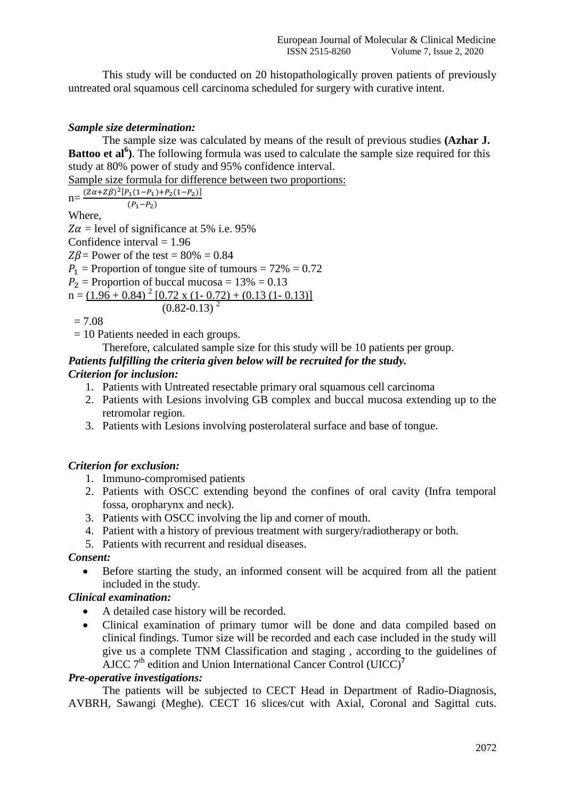This study will be conducted on 20 histopathologically proven patients of previously untreated oral squamous cell carcinoma scheduled for surgery with curative intent.

## *Sample size determination:*

The sample size was calculated by means of the result of previous studies **(Azhar J. Battoo et al<sup>6</sup>**). The following formula was used to calculate the sample size required for this study at 80% power of study and 95% confidence interval.

Sample size formula for difference between two proportions:

 $n = \frac{(Z\alpha + Z\beta)^2 [P_1(1-P_1)+P_2(1-P_2)]}{(P_1-P_2)}$  $(P_1-P_2)$ Where,

 $Z\alpha$  = level of significance at 5% i.e. 95% Confidence interval  $= 1.96$  $Z\beta$  = Power of the test = 80% = 0.84  $P_1$  = Proportion of tongue site of tumours = 72% = 0.72  $P_2$  = Proportion of buccal mucosa = 13% = 0.13  $n = (1.96 + 0.84)^2 [0.72 \times (1 - 0.72) + (0.13 (1 - 0.13))]$  $(0.82 - 0.13)^2$ 

 $= 7.08$ 

= 10 Patients needed in each groups.

Therefore, calculated sample size for this study will be 10 patients per group.

## *Patients fulfilling the criteria given below will be recruited for the study.*

## *Criterion for inclusion:*

- 1. Patients with Untreated resectable primary oral squamous cell carcinoma
- 2. Patients with Lesions involving GB complex and buccal mucosa extending up to the retromolar region.
- 3. Patients with Lesions involving posterolateral surface and base of tongue.

## *Criterion for exclusion:*

- 1. Immuno-compromised patients
- 2. Patients with OSCC extending beyond the confines of oral cavity (Infra temporal fossa, oropharynx and neck).
- 3. Patients with OSCC involving the lip and corner of mouth.
- 4. Patient with a history of previous treatment with surgery/radiotherapy or both.
- 5. Patients with recurrent and residual diseases.

## *Consent:*

 Before starting the study, an informed consent will be acquired from all the patient included in the study.

## *Clinical examination:*

- A detailed case history will be recorded.
- Clinical examination of primary tumor will be done and data compiled based on clinical findings. Tumor size will be recorded and each case included in the study will give us a complete TNM Classification and staging , according to the guidelines of AJCC 7<sup>th</sup> edition and Union International Cancer Control (UICC)<sup>7</sup>

## *Pre-operative investigations:*

The patients will be subjected to CECT Head in Department of Radio-Diagnosis, AVBRH, Sawangi (Meghe). CECT 16 slices/cut with Axial, Coronal and Sagittal cuts.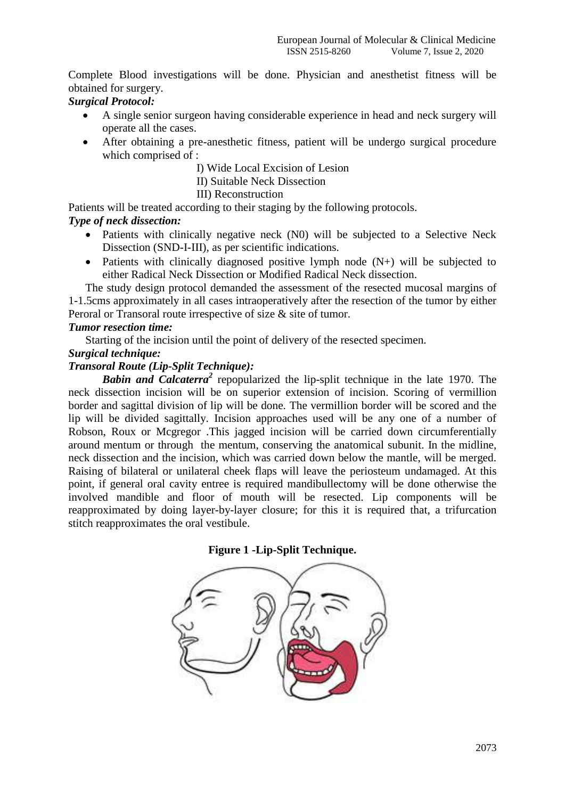Complete Blood investigations will be done. Physician and anesthetist fitness will be obtained for surgery.

## *Surgical Protocol:*

- A single senior surgeon having considerable experience in head and neck surgery will operate all the cases.
- After obtaining a pre-anesthetic fitness, patient will be undergo surgical procedure which comprised of :
	- I) Wide Local Excision of Lesion
	- II) Suitable Neck Dissection
	- III) Reconstruction

Patients will be treated according to their staging by the following protocols.

## *Type of neck dissection:*

- Patients with clinically negative neck (N0) will be subjected to a Selective Neck Dissection (SND-I-III), as per scientific indications.
- Patients with clinically diagnosed positive lymph node (N+) will be subjected to either Radical Neck Dissection or Modified Radical Neck dissection.

The study design protocol demanded the assessment of the resected mucosal margins of 1-1.5cms approximately in all cases intraoperatively after the resection of the tumor by either Peroral or Transoral route irrespective of size & site of tumor.

#### *Tumor resection time:*

Starting of the incision until the point of delivery of the resected specimen.

#### *Surgical technique:*

## *Transoral Route (Lip-Split Technique):*

**Babin and Calcaterra<sup>2</sup>** repopularized the lip-split technique in the late 1970. The neck dissection incision will be on superior extension of incision. Scoring of vermillion border and sagittal division of lip will be done. The vermillion border will be scored and the lip will be divided sagittally. Incision approaches used will be any one of a number of Robson, Roux or Mcgregor .This jagged incision will be carried down circumferentially around mentum or through the mentum, conserving the anatomical subunit. In the midline, neck dissection and the incision, which was carried down below the mantle, will be merged. Raising of bilateral or unilateral cheek flaps will leave the periosteum undamaged. At this point, if general oral cavity entree is required mandibullectomy will be done otherwise the involved mandible and floor of mouth will be resected. Lip components will be reapproximated by doing layer-by-layer closure; for this it is required that, a trifurcation stitch reapproximates the oral vestibule.

## **Figure 1 -Lip-Split Technique.**

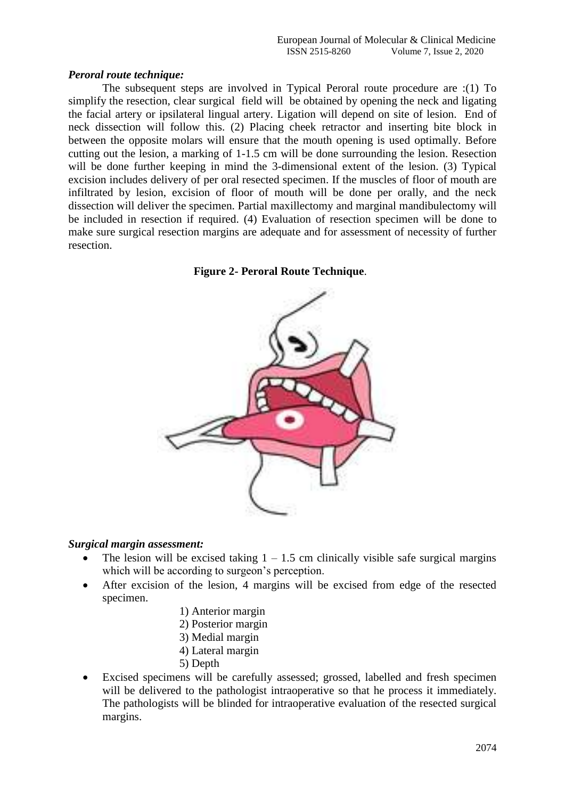## *Peroral route technique:*

The subsequent steps are involved in Typical Peroral route procedure are :(1) To simplify the resection, clear surgical field will be obtained by opening the neck and ligating the facial artery or ipsilateral lingual artery. Ligation will depend on site of lesion. End of neck dissection will follow this. (2) Placing cheek retractor and inserting bite block in between the opposite molars will ensure that the mouth opening is used optimally. Before cutting out the lesion, a marking of 1-1.5 cm will be done surrounding the lesion. Resection will be done further keeping in mind the 3-dimensional extent of the lesion. (3) Typical excision includes delivery of per oral resected specimen. If the muscles of floor of mouth are infiltrated by lesion, excision of floor of mouth will be done per orally, and the neck dissection will deliver the specimen. Partial maxillectomy and marginal mandibulectomy will be included in resection if required. (4) Evaluation of resection specimen will be done to make sure surgical resection margins are adequate and for assessment of necessity of further resection.

## **Figure 2- Peroral Route Technique**.



## *Surgical margin assessment:*

- The lesion will be excised taking  $1 1.5$  cm clinically visible safe surgical margins which will be according to surgeon's perception.
- After excision of the lesion, 4 margins will be excised from edge of the resected specimen.
	- 1) Anterior margin
	- 2) Posterior margin
	- 3) Medial margin
	- 4) Lateral margin
	- 5) Depth
- Excised specimens will be carefully assessed; grossed, labelled and fresh specimen will be delivered to the pathologist intraoperative so that he process it immediately. The pathologists will be blinded for intraoperative evaluation of the resected surgical margins.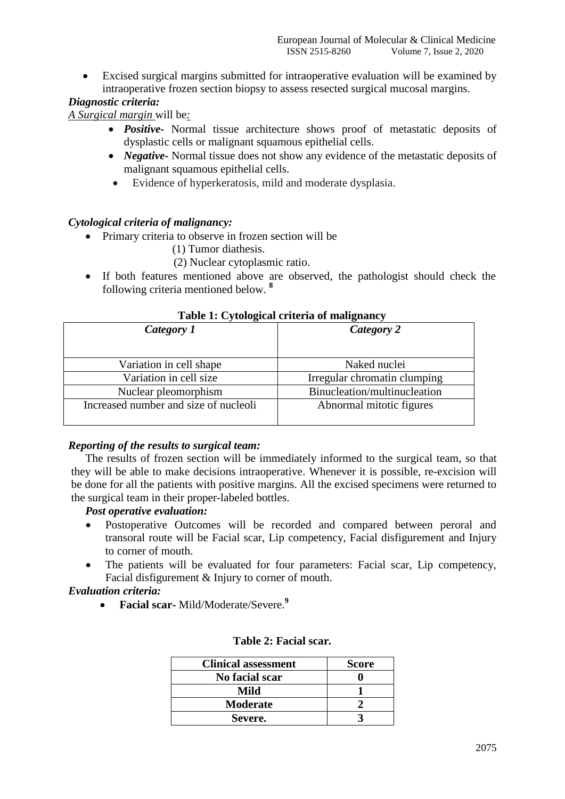Excised surgical margins submitted for intraoperative evaluation will be examined by intraoperative frozen section biopsy to assess resected surgical mucosal margins.

## *Diagnostic criteria:*

*A Surgical margin* will be*:* 

- *Positive-* Normal tissue architecture shows proof of metastatic deposits of dysplastic cells or malignant squamous epithelial cells.
- *Negative-* Normal tissue does not show any evidence of the metastatic deposits of malignant squamous epithelial cells.
- Evidence of hyperkeratosis, mild and moderate dysplasia.

## *Cytological criteria of malignancy:*

- Primary criteria to observe in frozen section will be
	- (1) Tumor diathesis.
	- (2) Nuclear cytoplasmic ratio.
- If both features mentioned above are observed, the pathologist should check the following criteria mentioned below. **8**

| Table 1. Cytological criteria of manghaney |                              |  |
|--------------------------------------------|------------------------------|--|
| Category 1                                 | Category 2                   |  |
|                                            |                              |  |
| Variation in cell shape                    | Naked nuclei                 |  |
| Variation in cell size                     | Irregular chromatin clumping |  |
| Nuclear pleomorphism                       | Binucleation/multinucleation |  |
| Increased number and size of nucleoli      | Abnormal mitotic figures     |  |

#### **Table 1: Cytological criteria of malignancy**

## *Reporting of the results to surgical team:*

The results of frozen section will be immediately informed to the surgical team, so that they will be able to make decisions intraoperative. Whenever it is possible, re-excision will be done for all the patients with positive margins. All the excised specimens were returned to the surgical team in their proper-labeled bottles.

## *Post operative evaluation:*

- Postoperative Outcomes will be recorded and compared between peroral and transoral route will be Facial scar, Lip competency, Facial disfigurement and Injury to corner of mouth.
- The patients will be evaluated for four parameters: Facial scar, Lip competency, Facial disfigurement & Injury to corner of mouth.

## *Evaluation criteria:*

**Facial scar-** Mild/Moderate/Severe.**<sup>9</sup>**

| <b>Clinical assessment</b> | <b>Score</b> |
|----------------------------|--------------|
| No facial scar             |              |
| Mild                       |              |
| <b>Moderate</b>            |              |
| Severe.                    |              |

#### **Table 2: Facial scar***.*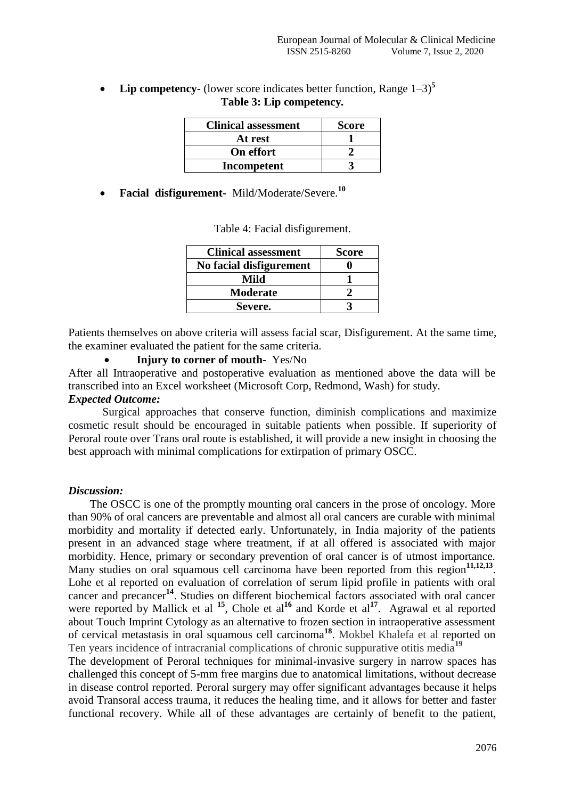• Lip competency- (lower score indicates better function, Range  $1-3$ )<sup>5</sup> **Table 3: Lip competency***.*

| <b>Clinical assessment</b> | <b>Score</b> |
|----------------------------|--------------|
| At rest                    |              |
| On effort                  |              |
| Incompetent                |              |

**Facial disfigurement-** Mild/Moderate/Severe.**<sup>10</sup>**

| <b>Clinical assessment</b> | <b>Score</b> |
|----------------------------|--------------|
| No facial disfigurement    |              |
| Mild                       |              |
| <b>Moderate</b>            |              |
| Severe.                    |              |

Table 4: Facial disfigurement.

Patients themselves on above criteria will assess facial scar, Disfigurement. At the same time, the examiner evaluated the patient for the same criteria.

**Injury to corner of mouth-** Yes/No

After all Intraoperative and postoperative evaluation as mentioned above the data will be transcribed into an Excel worksheet (Microsoft Corp, Redmond, Wash) for study.

## *Expected Outcome:*

Surgical approaches that conserve function, diminish complications and maximize cosmetic result should be encouraged in suitable patients when possible. If superiority of Peroral route over Trans oral route is established, it will provide a new insight in choosing the best approach with minimal complications for extirpation of primary OSCC.

## *Discussion:*

The OSCC is one of the promptly mounting oral cancers in the prose of oncology. More than 90% of oral cancers are preventable and almost all oral cancers are curable with minimal morbidity and mortality if detected early. Unfortunately, in India majority of the patients present in an advanced stage where treatment, if at all offered is associated with major morbidity. Hence, primary or secondary prevention of oral cancer is of utmost importance. Many studies on oral squamous cell carcinoma have been reported from this region<sup>11,12,13</sup>. Lohe et al reported on evaluation of correlation of serum lipid profile in patients with oral cancer and precancer**<sup>14</sup>**. Studies on different biochemical factors associated with oral cancer were reported by Mallick et al <sup>15</sup>, Chole et al<sup>16</sup> and Korde et al<sup>17</sup>. Agrawal et al reported about Touch Imprint Cytology as an alternative to frozen section in intraoperative assessment of cervical metastasis in oral squamous cell carcinoma**<sup>18</sup>** . Mokbel Khalefa et al reported on Ten years incidence of intracranial complications of chronic suppurative otitis media**<sup>19</sup>**

The development of Peroral techniques for minimal-invasive surgery in narrow spaces has challenged this concept of 5-mm free margins due to anatomical limitations, without decrease in disease control reported. Peroral surgery may offer significant advantages because it helps avoid Transoral access trauma, it reduces the healing time, and it allows for better and faster functional recovery. While all of these advantages are certainly of benefit to the patient,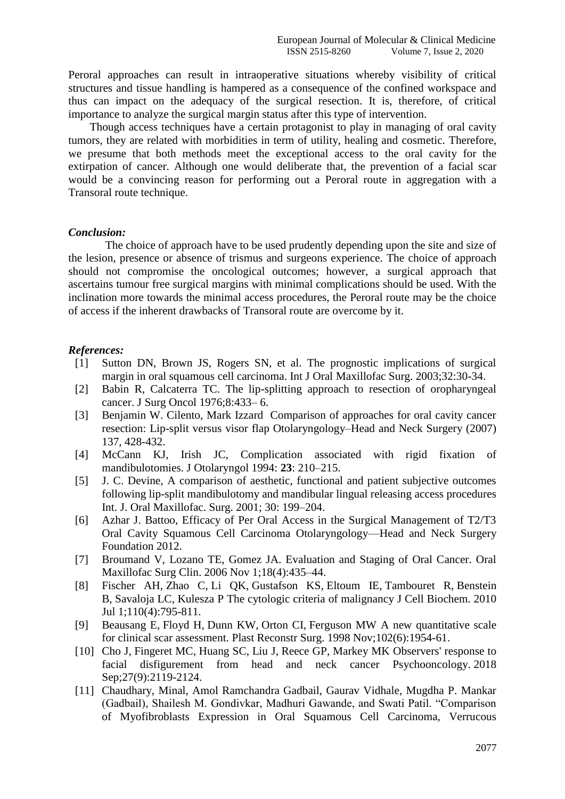Peroral approaches can result in intraoperative situations whereby visibility of critical structures and tissue handling is hampered as a consequence of the confined workspace and thus can impact on the adequacy of the surgical resection. It is, therefore, of critical importance to analyze the surgical margin status after this type of intervention.

Though access techniques have a certain protagonist to play in managing of oral cavity tumors, they are related with morbidities in term of utility, healing and cosmetic. Therefore, we presume that both methods meet the exceptional access to the oral cavity for the extirpation of cancer. Although one would deliberate that, the prevention of a facial scar would be a convincing reason for performing out a Peroral route in aggregation with a Transoral route technique.

#### *Conclusion:*

The choice of approach have to be used prudently depending upon the site and size of the lesion, presence or absence of trismus and surgeons experience. The choice of approach should not compromise the oncological outcomes; however, a surgical approach that ascertains tumour free surgical margins with minimal complications should be used. With the inclination more towards the minimal access procedures, the Peroral route may be the choice of access if the inherent drawbacks of Transoral route are overcome by it.

#### *References:*

- [1] Sutton DN, Brown JS, Rogers SN, et al. The prognostic implications of surgical margin in oral squamous cell carcinoma. Int J Oral Maxillofac Surg. 2003;32:30-34.
- [2] Babin R, Calcaterra TC. The lip-splitting approach to resection of oropharyngeal cancer. J Surg Oncol 1976;8:433– 6.
- [3] Benjamin W. Cilento, Mark Izzard Comparison of approaches for oral cavity cancer resection: Lip-split versus visor flap Otolaryngology–Head and Neck Surgery (2007) 137, 428-432.
- [4] McCann KJ, Irish JC, Complication associated with rigid fixation of mandibulotomies. J Otolaryngol 1994: **23**: 210–215.
- [5] J. C. Devine, A comparison of aesthetic, functional and patient subjective outcomes following lip-split mandibulotomy and mandibular lingual releasing access procedures Int. J. Oral Maxillofac. Surg. 2001; 30: 199–204.
- [6] Azhar J. Battoo, Efficacy of Per Oral Access in the Surgical Management of T2/T3 Oral Cavity Squamous Cell Carcinoma Otolaryngology—Head and Neck Surgery Foundation 2012.
- [7] Broumand V, Lozano TE, Gomez JA. Evaluation and Staging of Oral Cancer. Oral Maxillofac Surg Clin. 2006 Nov 1;18(4):435–44.
- [8] [Fischer AH,](https://www.ncbi.nlm.nih.gov/pubmed/?term=Fischer%20AH%5BAuthor%5D&cauthor=true&cauthor_uid=20564180) [Zhao C,](https://www.ncbi.nlm.nih.gov/pubmed/?term=Zhao%20C%5BAuthor%5D&cauthor=true&cauthor_uid=20564180) [Li QK,](https://www.ncbi.nlm.nih.gov/pubmed/?term=Li%20QK%5BAuthor%5D&cauthor=true&cauthor_uid=20564180) [Gustafson KS,](https://www.ncbi.nlm.nih.gov/pubmed/?term=Gustafson%20KS%5BAuthor%5D&cauthor=true&cauthor_uid=20564180) [Eltoum IE,](https://www.ncbi.nlm.nih.gov/pubmed/?term=Eltoum%20IE%5BAuthor%5D&cauthor=true&cauthor_uid=20564180) [Tambouret R,](https://www.ncbi.nlm.nih.gov/pubmed/?term=Tambouret%20R%5BAuthor%5D&cauthor=true&cauthor_uid=20564180) [Benstein](https://www.ncbi.nlm.nih.gov/pubmed/?term=Benstein%20B%5BAuthor%5D&cauthor=true&cauthor_uid=20564180)  [B,](https://www.ncbi.nlm.nih.gov/pubmed/?term=Benstein%20B%5BAuthor%5D&cauthor=true&cauthor_uid=20564180) [Savaloja LC,](https://www.ncbi.nlm.nih.gov/pubmed/?term=Savaloja%20LC%5BAuthor%5D&cauthor=true&cauthor_uid=20564180) [Kulesza P](https://www.ncbi.nlm.nih.gov/pubmed/?term=Kulesza%20P%5BAuthor%5D&cauthor=true&cauthor_uid=20564180) The cytologic criteria of malignancy [J Cell Biochem.](https://www.ncbi.nlm.nih.gov/pubmed/20564180) 2010 Jul 1;110(4):795-811.
- [9] [Beausang E,](https://www.ncbi.nlm.nih.gov/pubmed/?term=Beausang%20E%5BAuthor%5D&cauthor=true&cauthor_uid=9810991) [Floyd H,](https://www.ncbi.nlm.nih.gov/pubmed/?term=Floyd%20H%5BAuthor%5D&cauthor=true&cauthor_uid=9810991) [Dunn KW,](https://www.ncbi.nlm.nih.gov/pubmed/?term=Dunn%20KW%5BAuthor%5D&cauthor=true&cauthor_uid=9810991) [Orton CI,](https://www.ncbi.nlm.nih.gov/pubmed/?term=Orton%20CI%5BAuthor%5D&cauthor=true&cauthor_uid=9810991) [Ferguson MW](https://www.ncbi.nlm.nih.gov/pubmed/?term=Ferguson%20MW%5BAuthor%5D&cauthor=true&cauthor_uid=9810991) A new quantitative scale for clinical scar assessment. [Plast Reconstr Surg.](https://www.ncbi.nlm.nih.gov/pubmed/9810991) 1998 Nov;102(6):1954-61.
- [10] [Cho J,](https://www.ncbi.nlm.nih.gov/pubmed/?term=Cho%20J%5BAuthor%5D&cauthor=true&cauthor_uid=29846028) [Fingeret MC,](https://www.ncbi.nlm.nih.gov/pubmed/?term=Fingeret%20MC%5BAuthor%5D&cauthor=true&cauthor_uid=29846028) [Huang SC,](https://www.ncbi.nlm.nih.gov/pubmed/?term=Huang%20SC%5BAuthor%5D&cauthor=true&cauthor_uid=29846028) [Liu J,](https://www.ncbi.nlm.nih.gov/pubmed/?term=Liu%20J%5BAuthor%5D&cauthor=true&cauthor_uid=29846028) [Reece GP,](https://www.ncbi.nlm.nih.gov/pubmed/?term=Reece%20GP%5BAuthor%5D&cauthor=true&cauthor_uid=29846028) [Markey MK](https://www.ncbi.nlm.nih.gov/pubmed/?term=Markey%20MK%5BAuthor%5D&cauthor=true&cauthor_uid=29846028) Observers' response to facial disfigurement from head and neck cancer [Psychooncology.](https://www.ncbi.nlm.nih.gov/pubmed/29846028) 2018 Sep;27(9):2119-2124.
- [11] Chaudhary, Minal, Amol Ramchandra Gadbail, Gaurav Vidhale, Mugdha P. Mankar (Gadbail), Shailesh M. Gondivkar, Madhuri Gawande, and Swati Patil. "Comparison of Myofibroblasts Expression in Oral Squamous Cell Carcinoma, Verrucous